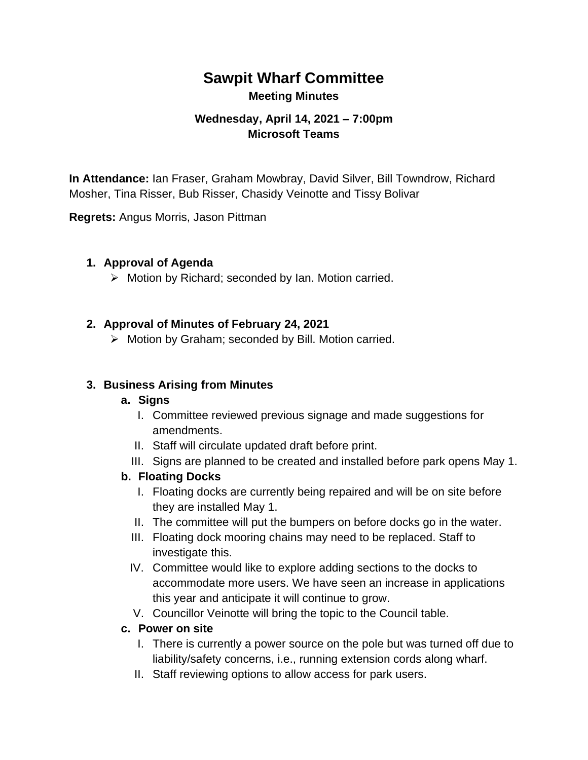# **Sawpit Wharf Committee Meeting Minutes**

# **Wednesday, April 14, 2021 – 7:00pm Microsoft Teams**

**In Attendance:** Ian Fraser, Graham Mowbray, David Silver, Bill Towndrow, Richard Mosher, Tina Risser, Bub Risser, Chasidy Veinotte and Tissy Bolivar

**Regrets:** Angus Morris, Jason Pittman

#### **1. Approval of Agenda**

➢ Motion by Richard; seconded by Ian. Motion carried.

#### **2. Approval of Minutes of February 24, 2021**

➢ Motion by Graham; seconded by Bill. Motion carried.

#### **3. Business Arising from Minutes**

#### **a. Signs**

- I. Committee reviewed previous signage and made suggestions for amendments.
- II. Staff will circulate updated draft before print.
- III. Signs are planned to be created and installed before park opens May 1.

#### **b. Floating Docks**

- I. Floating docks are currently being repaired and will be on site before they are installed May 1.
- II. The committee will put the bumpers on before docks go in the water.
- III. Floating dock mooring chains may need to be replaced. Staff to investigate this.
- IV. Committee would like to explore adding sections to the docks to accommodate more users. We have seen an increase in applications this year and anticipate it will continue to grow.
- V. Councillor Veinotte will bring the topic to the Council table.

#### **c. Power on site**

- I. There is currently a power source on the pole but was turned off due to liability/safety concerns, i.e., running extension cords along wharf.
- II. Staff reviewing options to allow access for park users.